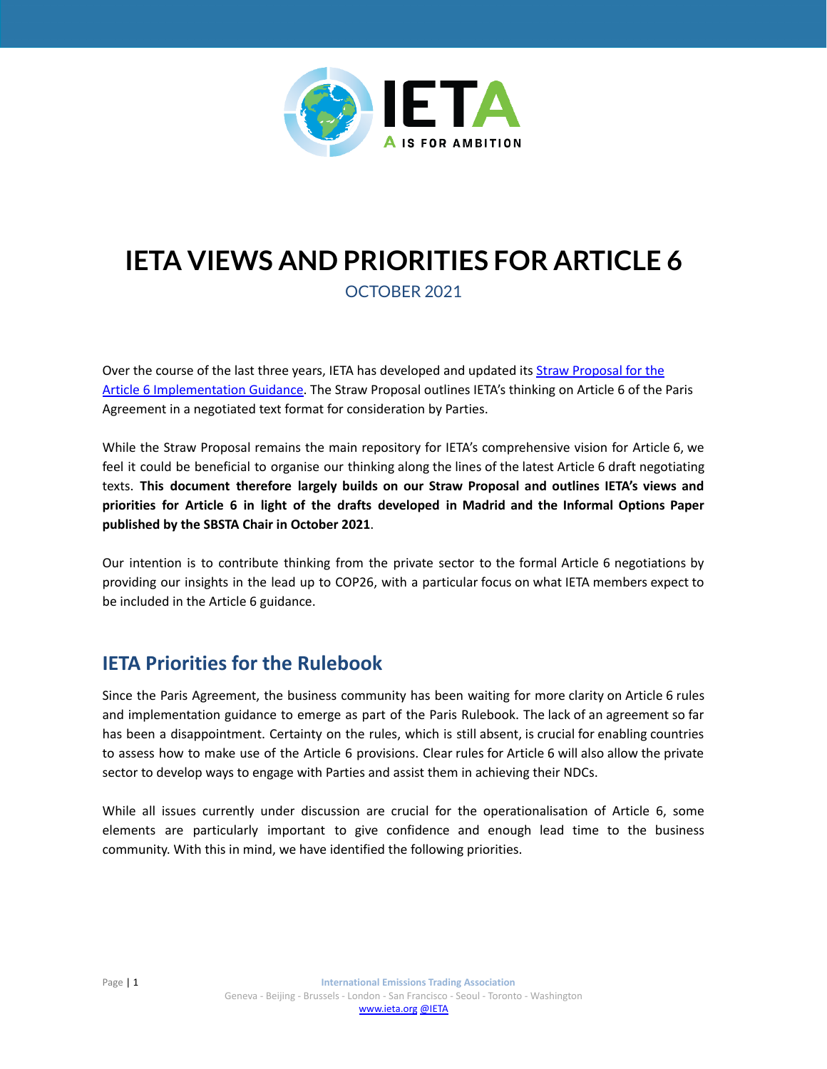

# **IETA VIEWS AND PRIORITIES FOR ARTICLE 6**

OCTOBER 2021

Over the course of the last three years, IETA has developed and updated its [Straw Proposal for the](http://ieta.org/resources/International_WG/2018/IETA%20Article%206%20Straw%20Proposal%20November%202017.pdf) [Article 6 Implementation Guidance.](http://ieta.org/resources/International_WG/2018/IETA%20Article%206%20Straw%20Proposal%20November%202017.pdf) The Straw Proposal outlines IETA's thinking on Article 6 of the Paris Agreement in a negotiated text format for consideration by Parties.

While the Straw Proposal remains the main repository for IETA's comprehensive vision for Article 6, we feel it could be beneficial to organise our thinking along the lines of the latest Article 6 draft negotiating texts. **This document therefore largely builds on our Straw Proposal and outlines IETA's views and priorities for Article 6 in light of the drafts developed in Madrid and the Informal Options Paper published by the SBSTA Chair in October 2021**.

Our intention is to contribute thinking from the private sector to the formal Article 6 negotiations by providing our insights in the lead up to COP26, with a particular focus on what IETA members expect to be included in the Article 6 guidance.

# **IETA Priorities for the Rulebook**

Since the Paris Agreement, the business community has been waiting for more clarity on Article 6 rules and implementation guidance to emerge as part of the Paris Rulebook. The lack of an agreement so far has been a disappointment. Certainty on the rules, which is still absent, is crucial for enabling countries to assess how to make use of the Article 6 provisions. Clear rules for Article 6 will also allow the private sector to develop ways to engage with Parties and assist them in achieving their NDCs.

While all issues currently under discussion are crucial for the operationalisation of Article 6, some elements are particularly important to give confidence and enough lead time to the business community. With this in mind, we have identified the following priorities.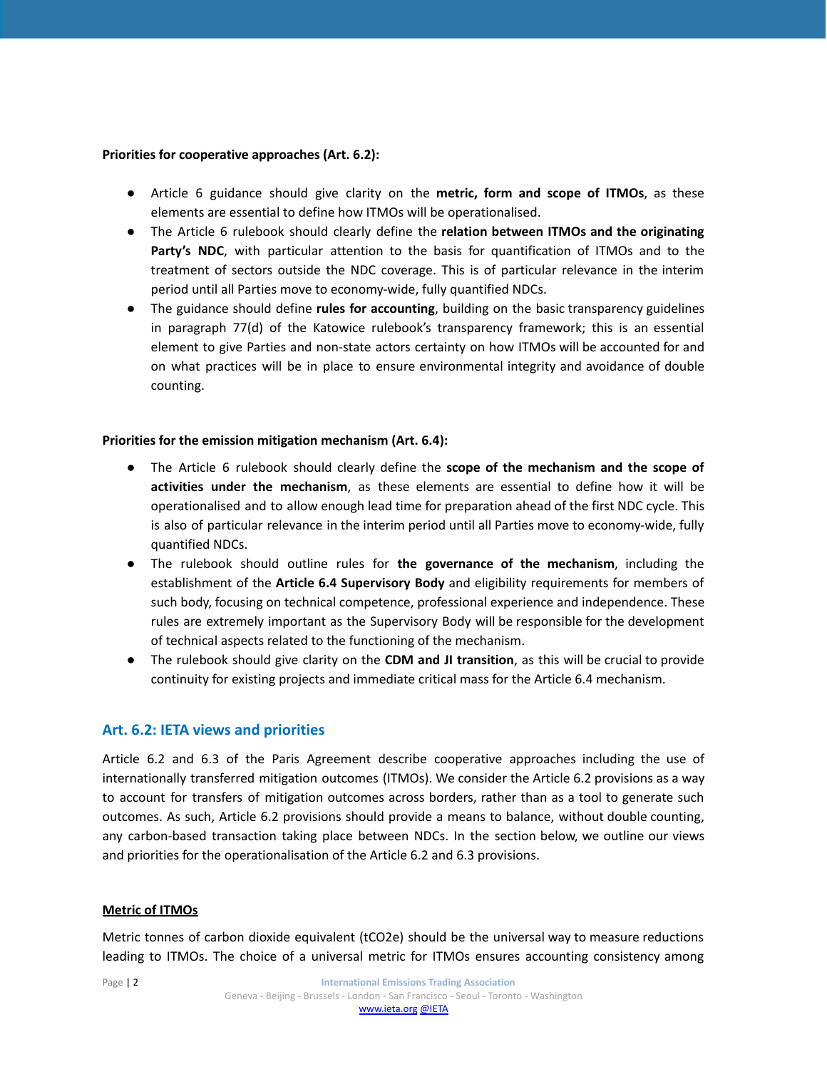#### **Priorities for cooperative approaches (Art. 6.2):**

- Article 6 guidance should give clarity on the **metric, form and scope of ITMOs**, as these elements are essential to define how ITMOs will be operationalised.
- The Article 6 rulebook should clearly define the **relation between ITMOs and the originating Party's NDC**, with particular attention to the basis for quantification of ITMOs and to the treatment of sectors outside the NDC coverage. This is of particular relevance in the interim period until all Parties move to economy-wide, fully quantified NDCs.
- The guidance should define **rules for accounting**, building on the basic transparency guidelines in paragraph 77(d) of the Katowice rulebook's transparency framework; this is an essential element to give Parties and non-state actors certainty on how ITMOs will be accounted for and on what practices will be in place to ensure environmental integrity and avoidance of double counting.

#### **Priorities for the emission mitigation mechanism (Art. 6.4):**

- The Article 6 rulebook should clearly define the **scope of the mechanism and the scope of activities under the mechanism**, as these elements are essential to define how it will be operationalised and to allow enough lead time for preparation ahead of the first NDC cycle. This is also of particular relevance in the interim period until all Parties move to economy-wide, fully quantified NDCs.
- The rulebook should outline rules for **the governance of the mechanism**, including the establishment of the **Article 6.4 Supervisory Body** and eligibility requirements for members of such body, focusing on technical competence, professional experience and independence. These rules are extremely important as the Supervisory Body will be responsible for the development of technical aspects related to the functioning of the mechanism.
- The rulebook should give clarity on the **CDM and JI transition**, as this will be crucial to provide continuity for existing projects and immediate critical mass for the Article 6.4 mechanism.

# **Art. 6.2: IETA views and priorities**

Article 6.2 and 6.3 of the Paris Agreement describe cooperative approaches including the use of internationally transferred mitigation outcomes (ITMOs). We consider the Article 6.2 provisions as a way to account for transfers of mitigation outcomes across borders, rather than as a tool to generate such outcomes. As such, Article 6.2 provisions should provide a means to balance, without double counting, any carbon-based transaction taking place between NDCs. In the section below, we outline our views and priorities for the operationalisation of the Article 6.2 and 6.3 provisions.

# **Metric of ITMOs**

Metric tonnes of carbon dioxide equivalent (tCO2e) should be the universal way to measure reductions leading to ITMOs. The choice of a universal metric for ITMOs ensures accounting consistency among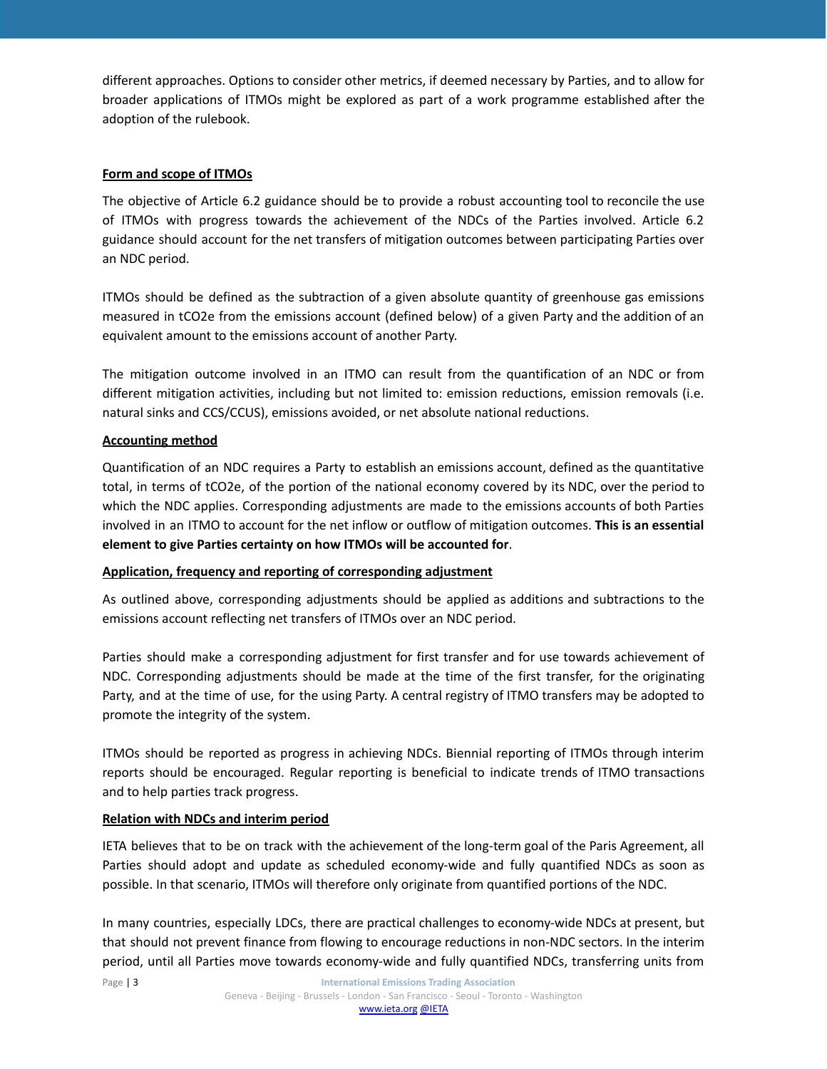different approaches. Options to consider other metrics, if deemed necessary by Parties, and to allow for broader applications of ITMOs might be explored as part of a work programme established after the adoption of the rulebook.

# **Form and scope of ITMOs**

The objective of Article 6.2 guidance should be to provide a robust accounting tool to reconcile the use of ITMOs with progress towards the achievement of the NDCs of the Parties involved. Article 6.2 guidance should account for the net transfers of mitigation outcomes between participating Parties over an NDC period.

ITMOs should be defined as the subtraction of a given absolute quantity of greenhouse gas emissions measured in tCO2e from the emissions account (defined below) of a given Party and the addition of an equivalent amount to the emissions account of another Party.

The mitigation outcome involved in an ITMO can result from the quantification of an NDC or from different mitigation activities, including but not limited to: emission reductions, emission removals (i.e. natural sinks and CCS/CCUS), emissions avoided, or net absolute national reductions.

# **Accounting method**

Quantification of an NDC requires a Party to establish an emissions account, defined as the quantitative total, in terms of tCO2e, of the portion of the national economy covered by its NDC, over the period to which the NDC applies. Corresponding adjustments are made to the emissions accounts of both Parties involved in an ITMO to account for the net inflow or outflow of mitigation outcomes. **This is an essential element to give Parties certainty on how ITMOs will be accounted for**.

# **Application, frequency and reporting of corresponding adjustment**

As outlined above, corresponding adjustments should be applied as additions and subtractions to the emissions account reflecting net transfers of ITMOs over an NDC period.

Parties should make a corresponding adjustment for first transfer and for use towards achievement of NDC. Corresponding adjustments should be made at the time of the first transfer, for the originating Party, and at the time of use, for the using Party. A central registry of ITMO transfers may be adopted to promote the integrity of the system.

ITMOs should be reported as progress in achieving NDCs. Biennial reporting of ITMOs through interim reports should be encouraged. Regular reporting is beneficial to indicate trends of ITMO transactions and to help parties track progress.

# **Relation with NDCs and interim period**

IETA believes that to be on track with the achievement of the long-term goal of the Paris Agreement, all Parties should adopt and update as scheduled economy-wide and fully quantified NDCs as soon as possible. In that scenario, ITMOs will therefore only originate from quantified portions of the NDC.

In many countries, especially LDCs, there are practical challenges to economy-wide NDCs at present, but that should not prevent finance from flowing to encourage reductions in non-NDC sectors. In the interim period, until all Parties move towards economy-wide and fully quantified NDCs, transferring units from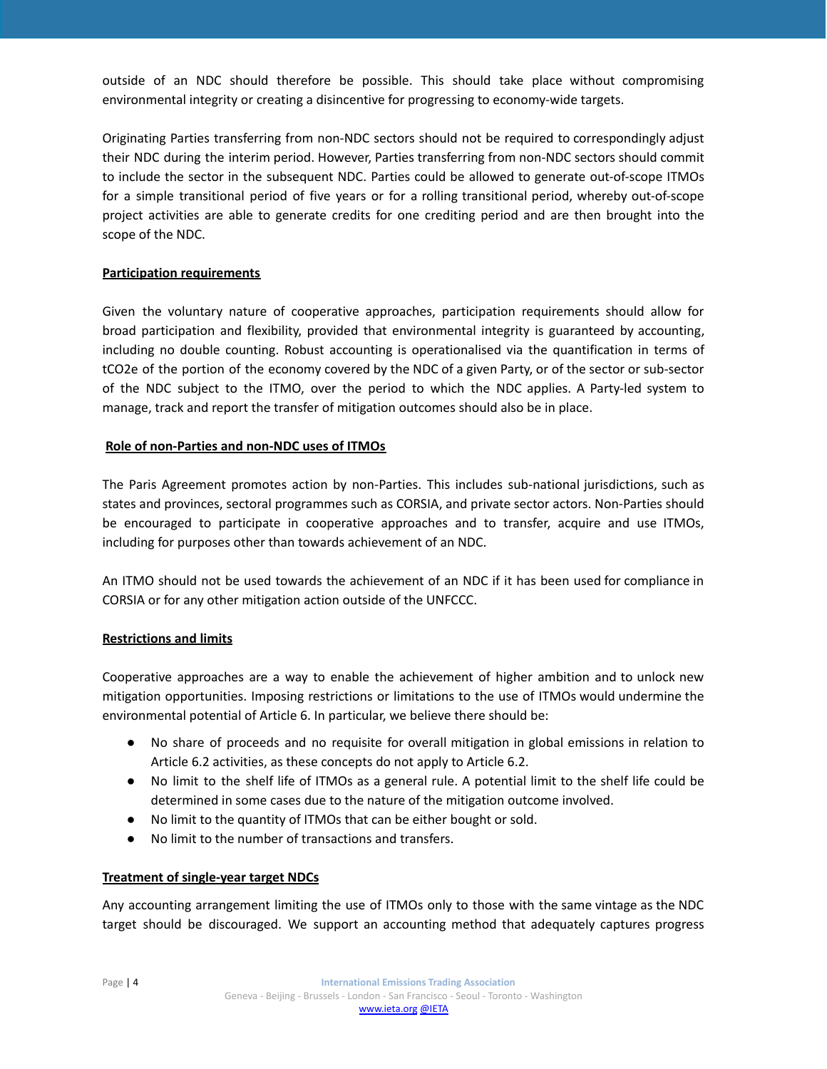outside of an NDC should therefore be possible. This should take place without compromising environmental integrity or creating a disincentive for progressing to economy-wide targets.

Originating Parties transferring from non-NDC sectors should not be required to correspondingly adjust their NDC during the interim period. However, Parties transferring from non-NDC sectors should commit to include the sector in the subsequent NDC. Parties could be allowed to generate out-of-scope ITMOs for a simple transitional period of five years or for a rolling transitional period, whereby out-of-scope project activities are able to generate credits for one crediting period and are then brought into the scope of the NDC.

# **Participation requirements**

Given the voluntary nature of cooperative approaches, participation requirements should allow for broad participation and flexibility, provided that environmental integrity is guaranteed by accounting, including no double counting. Robust accounting is operationalised via the quantification in terms of tCO2e of the portion of the economy covered by the NDC of a given Party, or of the sector or sub-sector of the NDC subject to the ITMO, over the period to which the NDC applies. A Party-led system to manage, track and report the transfer of mitigation outcomes should also be in place.

# **Role of non-Parties and non-NDC uses of ITMOs**

The Paris Agreement promotes action by non-Parties. This includes sub-national jurisdictions, such as states and provinces, sectoral programmes such as CORSIA, and private sector actors. Non-Parties should be encouraged to participate in cooperative approaches and to transfer, acquire and use ITMOs, including for purposes other than towards achievement of an NDC.

An ITMO should not be used towards the achievement of an NDC if it has been used for compliance in CORSIA or for any other mitigation action outside of the UNFCCC.

# **Restrictions and limits**

Cooperative approaches are a way to enable the achievement of higher ambition and to unlock new mitigation opportunities. Imposing restrictions or limitations to the use of ITMOs would undermine the environmental potential of Article 6. In particular, we believe there should be:

- No share of proceeds and no requisite for overall mitigation in global emissions in relation to Article 6.2 activities, as these concepts do not apply to Article 6.2.
- No limit to the shelf life of ITMOs as a general rule. A potential limit to the shelf life could be determined in some cases due to the nature of the mitigation outcome involved.
- No limit to the quantity of ITMOs that can be either bought or sold.
- No limit to the number of transactions and transfers.

# **Treatment of single-year target NDCs**

Any accounting arrangement limiting the use of ITMOs only to those with the same vintage as the NDC target should be discouraged. We support an accounting method that adequately captures progress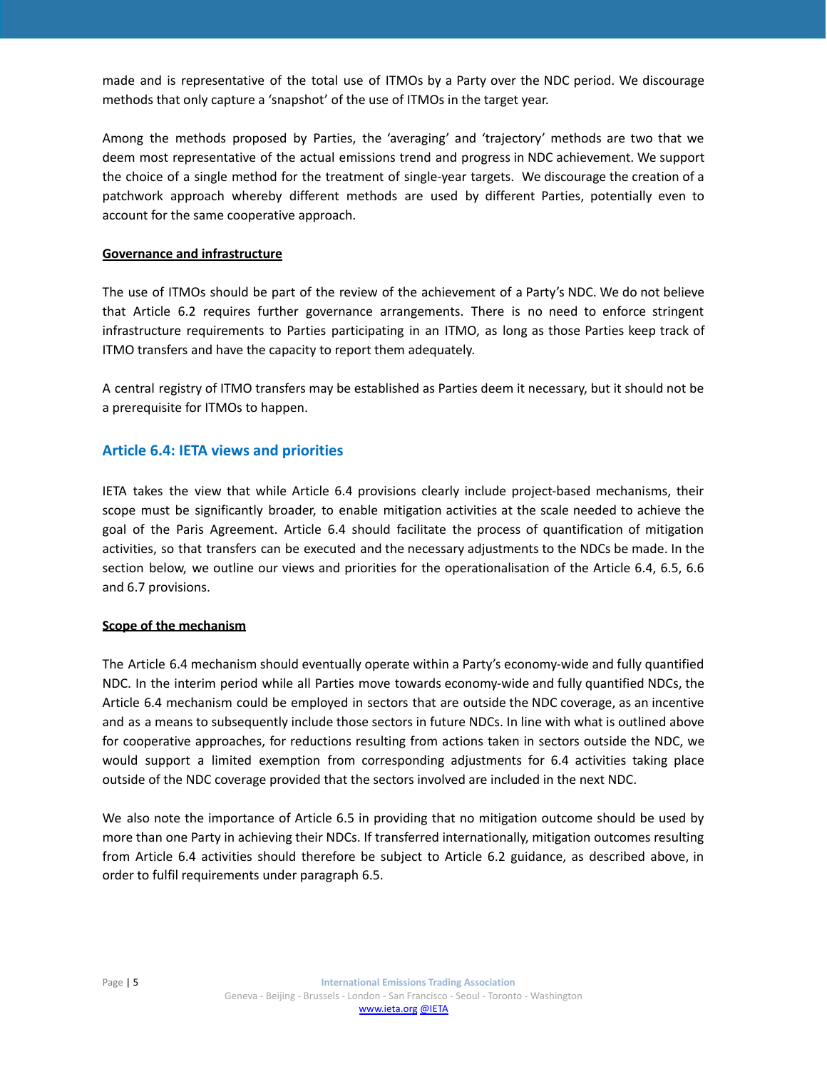made and is representative of the total use of ITMOs by a Party over the NDC period. We discourage methods that only capture a 'snapshot' of the use of ITMOs in the target year.

Among the methods proposed by Parties, the 'averaging' and 'trajectory' methods are two that we deem most representative of the actual emissions trend and progress in NDC achievement. We support the choice of a single method for the treatment of single-year targets. We discourage the creation of a patchwork approach whereby different methods are used by different Parties, potentially even to account for the same cooperative approach.

# **Governance and infrastructure**

The use of ITMOs should be part of the review of the achievement of a Party's NDC. We do not believe that Article 6.2 requires further governance arrangements. There is no need to enforce stringent infrastructure requirements to Parties participating in an ITMO, as long as those Parties keep track of ITMO transfers and have the capacity to report them adequately.

A central registry of ITMO transfers may be established as Parties deem it necessary, but it should not be a prerequisite for ITMOs to happen.

# **Article 6.4: IETA views and priorities**

IETA takes the view that while Article 6.4 provisions clearly include project-based mechanisms, their scope must be significantly broader, to enable mitigation activities at the scale needed to achieve the goal of the Paris Agreement. Article 6.4 should facilitate the process of quantification of mitigation activities, so that transfers can be executed and the necessary adjustments to the NDCs be made. In the section below, we outline our views and priorities for the operationalisation of the Article 6.4, 6.5, 6.6 and 6.7 provisions.

# **Scope of the mechanism**

The Article 6.4 mechanism should eventually operate within a Party's economy-wide and fully quantified NDC. In the interim period while all Parties move towards economy-wide and fully quantified NDCs, the Article 6.4 mechanism could be employed in sectors that are outside the NDC coverage, as an incentive and as a means to subsequently include those sectors in future NDCs. In line with what is outlined above for cooperative approaches, for reductions resulting from actions taken in sectors outside the NDC, we would support a limited exemption from corresponding adjustments for 6.4 activities taking place outside of the NDC coverage provided that the sectors involved are included in the next NDC.

We also note the importance of Article 6.5 in providing that no mitigation outcome should be used by more than one Party in achieving their NDCs. If transferred internationally, mitigation outcomes resulting from Article 6.4 activities should therefore be subject to Article 6.2 guidance, as described above, in order to fulfil requirements under paragraph 6.5.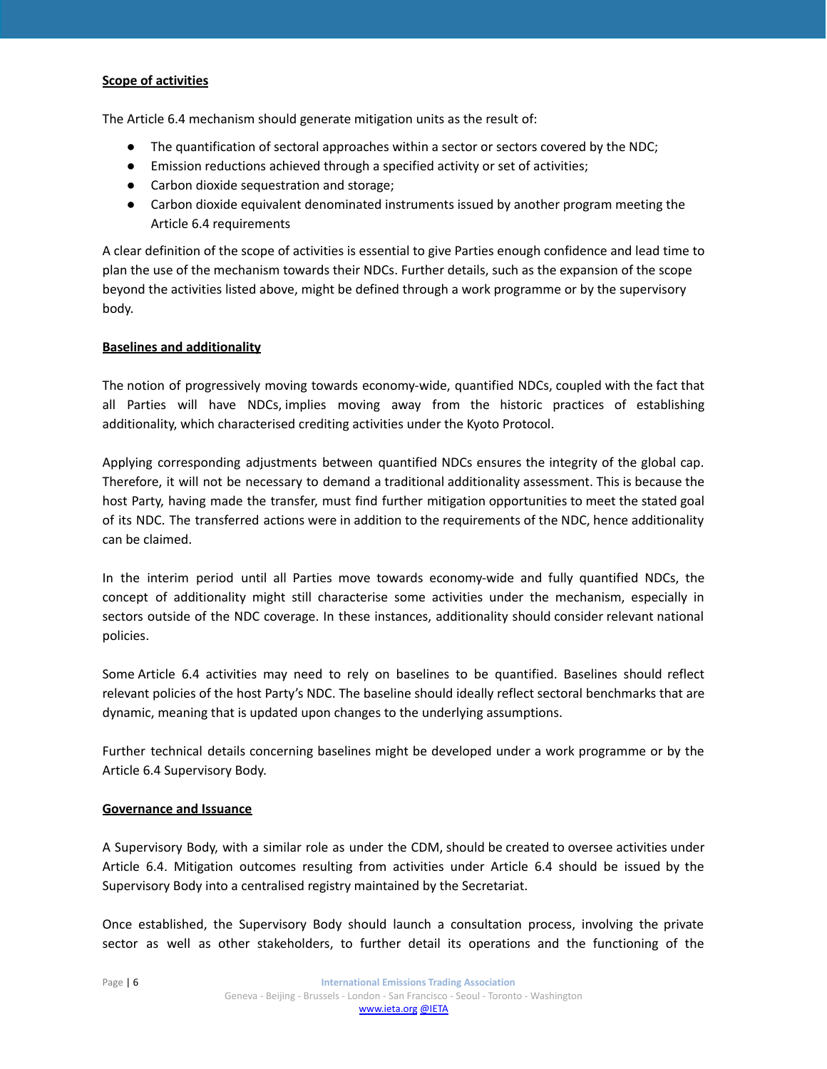# **Scope of activities**

The Article 6.4 mechanism should generate mitigation units as the result of:

- The quantification of sectoral approaches within a sector or sectors covered by the NDC;
- Emission reductions achieved through a specified activity or set of activities;
- Carbon dioxide sequestration and storage;
- Carbon dioxide equivalent denominated instruments issued by another program meeting the Article 6.4 requirements

A clear definition of the scope of activities is essential to give Parties enough confidence and lead time to plan the use of the mechanism towards their NDCs. Further details, such as the expansion of the scope beyond the activities listed above, might be defined through a work programme or by the supervisory body.

# **Baselines and additionality**

The notion of progressively moving towards economy-wide, quantified NDCs, coupled with the fact that all Parties will have NDCs, implies moving away from the historic practices of establishing additionality, which characterised crediting activities under the Kyoto Protocol.

Applying corresponding adjustments between quantified NDCs ensures the integrity of the global cap. Therefore, it will not be necessary to demand a traditional additionality assessment. This is because the host Party, having made the transfer, must find further mitigation opportunities to meet the stated goal of its NDC. The transferred actions were in addition to the requirements of the NDC, hence additionality can be claimed.

In the interim period until all Parties move towards economy-wide and fully quantified NDCs, the concept of additionality might still characterise some activities under the mechanism, especially in sectors outside of the NDC coverage. In these instances, additionality should consider relevant national policies.

Some Article 6.4 activities may need to rely on baselines to be quantified. Baselines should reflect relevant policies of the host Party's NDC. The baseline should ideally reflect sectoral benchmarks that are dynamic, meaning that is updated upon changes to the underlying assumptions.

Further technical details concerning baselines might be developed under a work programme or by the Article 6.4 Supervisory Body.

# **Governance and Issuance**

A Supervisory Body, with a similar role as under the CDM, should be created to oversee activities under Article 6.4. Mitigation outcomes resulting from activities under Article 6.4 should be issued by the Supervisory Body into a centralised registry maintained by the Secretariat.

Once established, the Supervisory Body should launch a consultation process, involving the private sector as well as other stakeholders, to further detail its operations and the functioning of the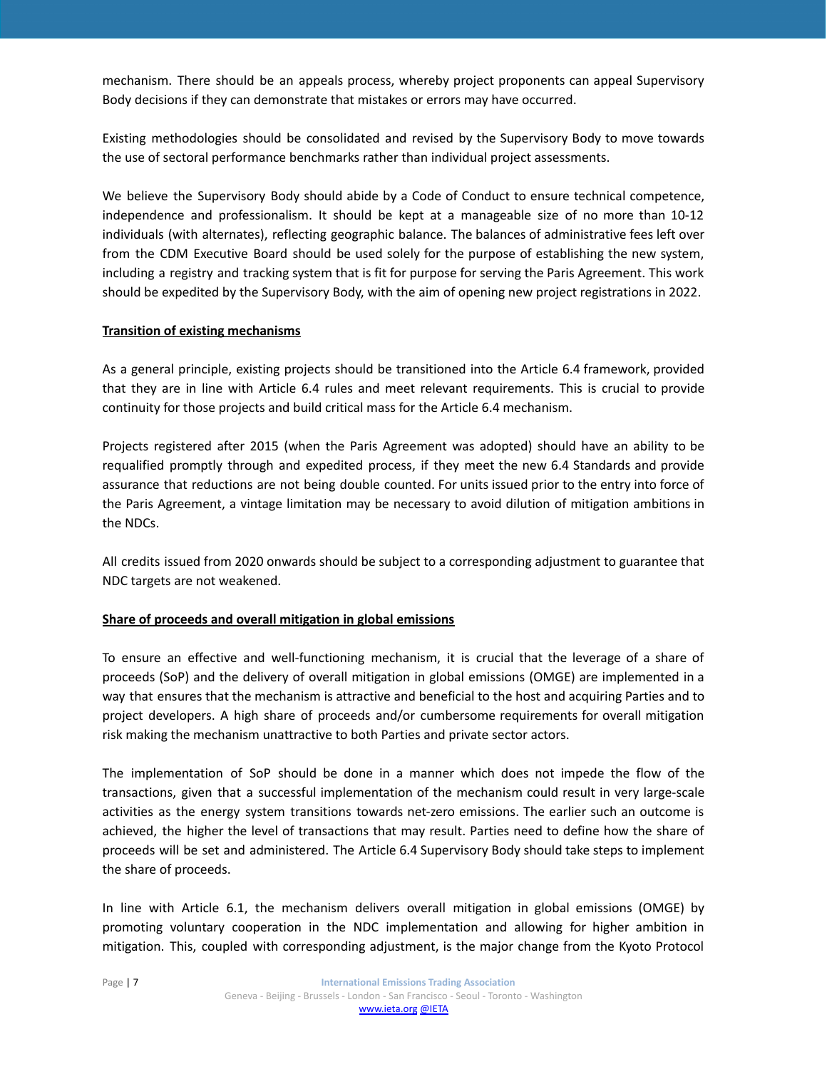mechanism. There should be an appeals process, whereby project proponents can appeal Supervisory Body decisions if they can demonstrate that mistakes or errors may have occurred.

Existing methodologies should be consolidated and revised by the Supervisory Body to move towards the use of sectoral performance benchmarks rather than individual project assessments.

We believe the Supervisory Body should abide by a Code of Conduct to ensure technical competence, independence and professionalism. It should be kept at a manageable size of no more than 10-12 individuals (with alternates), reflecting geographic balance. The balances of administrative fees left over from the CDM Executive Board should be used solely for the purpose of establishing the new system, including a registry and tracking system that is fit for purpose for serving the Paris Agreement. This work should be expedited by the Supervisory Body, with the aim of opening new project registrations in 2022.

# **Transition of existing mechanisms**

As a general principle, existing projects should be transitioned into the Article 6.4 framework, provided that they are in line with Article 6.4 rules and meet relevant requirements. This is crucial to provide continuity for those projects and build critical mass for the Article 6.4 mechanism.

Projects registered after 2015 (when the Paris Agreement was adopted) should have an ability to be requalified promptly through and expedited process, if they meet the new 6.4 Standards and provide assurance that reductions are not being double counted. For units issued prior to the entry into force of the Paris Agreement, a vintage limitation may be necessary to avoid dilution of mitigation ambitions in the NDCs.

All credits issued from 2020 onwards should be subject to a corresponding adjustment to guarantee that NDC targets are not weakened.

# **Share of proceeds and overall mitigation in global emissions**

To ensure an effective and well-functioning mechanism, it is crucial that the leverage of a share of proceeds (SoP) and the delivery of overall mitigation in global emissions (OMGE) are implemented in a way that ensures that the mechanism is attractive and beneficial to the host and acquiring Parties and to project developers. A high share of proceeds and/or cumbersome requirements for overall mitigation risk making the mechanism unattractive to both Parties and private sector actors.

The implementation of SoP should be done in a manner which does not impede the flow of the transactions, given that a successful implementation of the mechanism could result in very large-scale activities as the energy system transitions towards net-zero emissions. The earlier such an outcome is achieved, the higher the level of transactions that may result. Parties need to define how the share of proceeds will be set and administered. The Article 6.4 Supervisory Body should take steps to implement the share of proceeds.

In line with Article 6.1, the mechanism delivers overall mitigation in global emissions (OMGE) by promoting voluntary cooperation in the NDC implementation and allowing for higher ambition in mitigation. This, coupled with corresponding adjustment, is the major change from the Kyoto Protocol